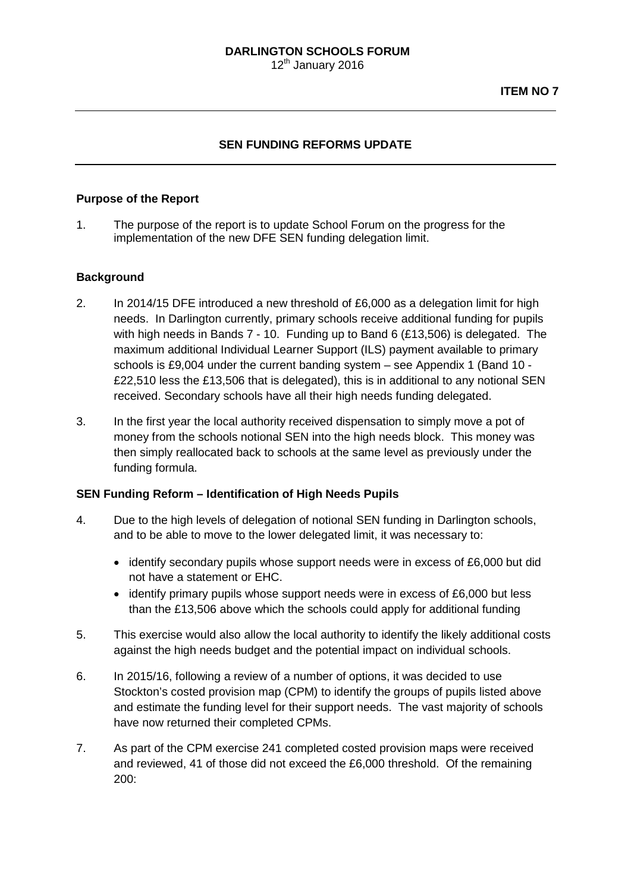## **SEN FUNDING REFORMS UPDATE**

### **Purpose of the Report**

1. The purpose of the report is to update School Forum on the progress for the implementation of the new DFE SEN funding delegation limit.

### **Background**

- 2. In 2014/15 DFE introduced a new threshold of £6,000 as a delegation limit for high needs. In Darlington currently, primary schools receive additional funding for pupils with high needs in Bands 7 - 10. Funding up to Band 6 (£13,506) is delegated. The maximum additional Individual Learner Support (ILS) payment available to primary schools is £9,004 under the current banding system – see Appendix 1 (Band 10 - £22,510 less the £13,506 that is delegated), this is in additional to any notional SEN received. Secondary schools have all their high needs funding delegated.
- 3. In the first year the local authority received dispensation to simply move a pot of money from the schools notional SEN into the high needs block. This money was then simply reallocated back to schools at the same level as previously under the funding formula.

### **SEN Funding Reform – Identification of High Needs Pupils**

- 4. Due to the high levels of delegation of notional SEN funding in Darlington schools, and to be able to move to the lower delegated limit, it was necessary to:
	- identify secondary pupils whose support needs were in excess of £6,000 but did not have a statement or EHC.
	- identify primary pupils whose support needs were in excess of £6,000 but less than the £13,506 above which the schools could apply for additional funding
- 5. This exercise would also allow the local authority to identify the likely additional costs against the high needs budget and the potential impact on individual schools.
- 6. In 2015/16, following a review of a number of options, it was decided to use Stockton's costed provision map (CPM) to identify the groups of pupils listed above and estimate the funding level for their support needs. The vast majority of schools have now returned their completed CPMs.
- 7. As part of the CPM exercise 241 completed costed provision maps were received and reviewed, 41 of those did not exceed the £6,000 threshold. Of the remaining 200: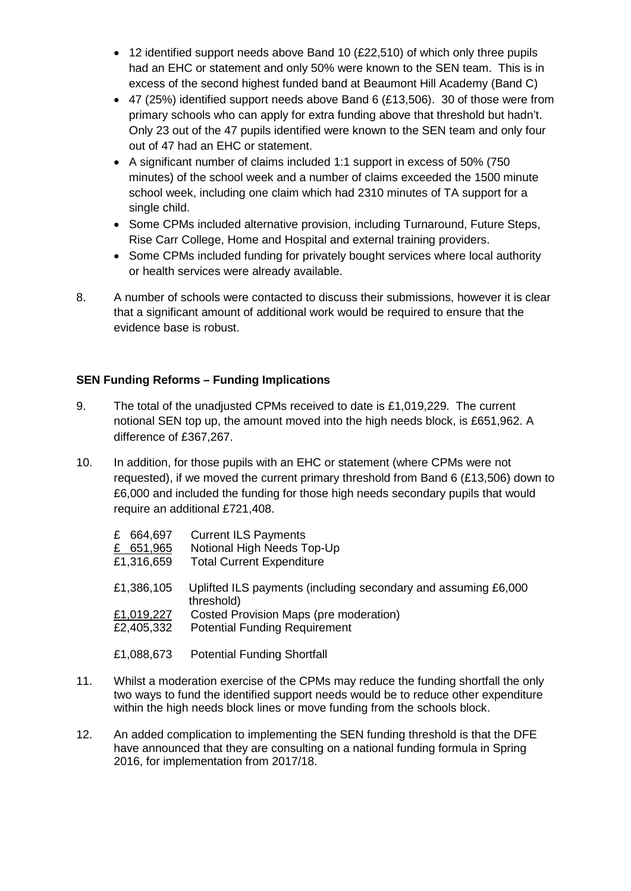- 12 identified support needs above Band 10 (£22,510) of which only three pupils had an EHC or statement and only 50% were known to the SEN team. This is in excess of the second highest funded band at Beaumont Hill Academy (Band C)
- 47 (25%) identified support needs above Band 6 (£13,506). 30 of those were from primary schools who can apply for extra funding above that threshold but hadn't. Only 23 out of the 47 pupils identified were known to the SEN team and only four out of 47 had an EHC or statement.
- A significant number of claims included 1:1 support in excess of 50% (750 minutes) of the school week and a number of claims exceeded the 1500 minute school week, including one claim which had 2310 minutes of TA support for a single child.
- Some CPMs included alternative provision, including Turnaround, Future Steps, Rise Carr College, Home and Hospital and external training providers.
- Some CPMs included funding for privately bought services where local authority or health services were already available.
- 8. A number of schools were contacted to discuss their submissions, however it is clear that a significant amount of additional work would be required to ensure that the evidence base is robust.

## **SEN Funding Reforms – Funding Implications**

- 9. The total of the unadjusted CPMs received to date is £1,019,229. The current notional SEN top up, the amount moved into the high needs block, is £651,962. A difference of £367,267.
- 10. In addition, for those pupils with an EHC or statement (where CPMs were not requested), if we moved the current primary threshold from Band 6 (£13,506) down to £6,000 and included the funding for those high needs secondary pupils that would require an additional £721,408.

| 664,697<br>£<br>£ 651,965<br>£1,316,659 | <b>Current ILS Payments</b><br>Notional High Needs Top-Up<br><b>Total Current Expenditure</b> |
|-----------------------------------------|-----------------------------------------------------------------------------------------------|
| £1,386,105                              | Uplifted ILS payments (including secondary and assuming £6,000<br>threshold)                  |
| £1,019,227                              | Costed Provision Maps (pre moderation)                                                        |
| £2,405,332                              | <b>Potential Funding Requirement</b>                                                          |
| £1,088,673                              | <b>Potential Funding Shortfall</b>                                                            |

- 11. Whilst a moderation exercise of the CPMs may reduce the funding shortfall the only two ways to fund the identified support needs would be to reduce other expenditure within the high needs block lines or move funding from the schools block.
- 12. An added complication to implementing the SEN funding threshold is that the DFE have announced that they are consulting on a national funding formula in Spring 2016, for implementation from 2017/18.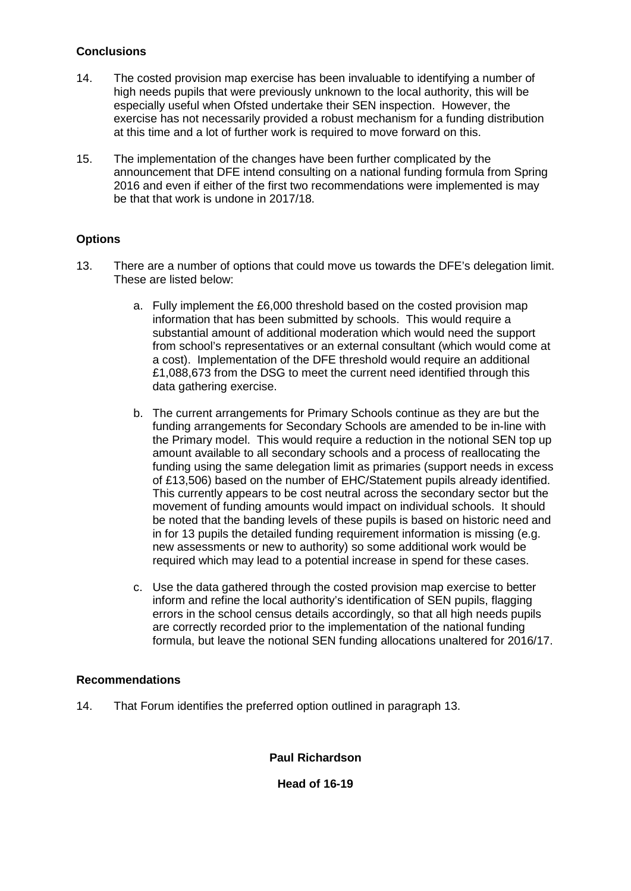## **Conclusions**

- 14. The costed provision map exercise has been invaluable to identifying a number of high needs pupils that were previously unknown to the local authority, this will be especially useful when Ofsted undertake their SEN inspection. However, the exercise has not necessarily provided a robust mechanism for a funding distribution at this time and a lot of further work is required to move forward on this.
- 15. The implementation of the changes have been further complicated by the announcement that DFE intend consulting on a national funding formula from Spring 2016 and even if either of the first two recommendations were implemented is may be that that work is undone in 2017/18.

### **Options**

- 13. There are a number of options that could move us towards the DFE's delegation limit. These are listed below:
	- a. Fully implement the £6,000 threshold based on the costed provision map information that has been submitted by schools. This would require a substantial amount of additional moderation which would need the support from school's representatives or an external consultant (which would come at a cost). Implementation of the DFE threshold would require an additional £1,088,673 from the DSG to meet the current need identified through this data gathering exercise.
	- b. The current arrangements for Primary Schools continue as they are but the funding arrangements for Secondary Schools are amended to be in-line with the Primary model. This would require a reduction in the notional SEN top up amount available to all secondary schools and a process of reallocating the funding using the same delegation limit as primaries (support needs in excess of £13,506) based on the number of EHC/Statement pupils already identified. This currently appears to be cost neutral across the secondary sector but the movement of funding amounts would impact on individual schools. It should be noted that the banding levels of these pupils is based on historic need and in for 13 pupils the detailed funding requirement information is missing (e.g. new assessments or new to authority) so some additional work would be required which may lead to a potential increase in spend for these cases.
	- c. Use the data gathered through the costed provision map exercise to better inform and refine the local authority's identification of SEN pupils, flagging errors in the school census details accordingly, so that all high needs pupils are correctly recorded prior to the implementation of the national funding formula, but leave the notional SEN funding allocations unaltered for 2016/17.

### **Recommendations**

14. That Forum identifies the preferred option outlined in paragraph 13.

**Paul Richardson**

**Head of 16-19**